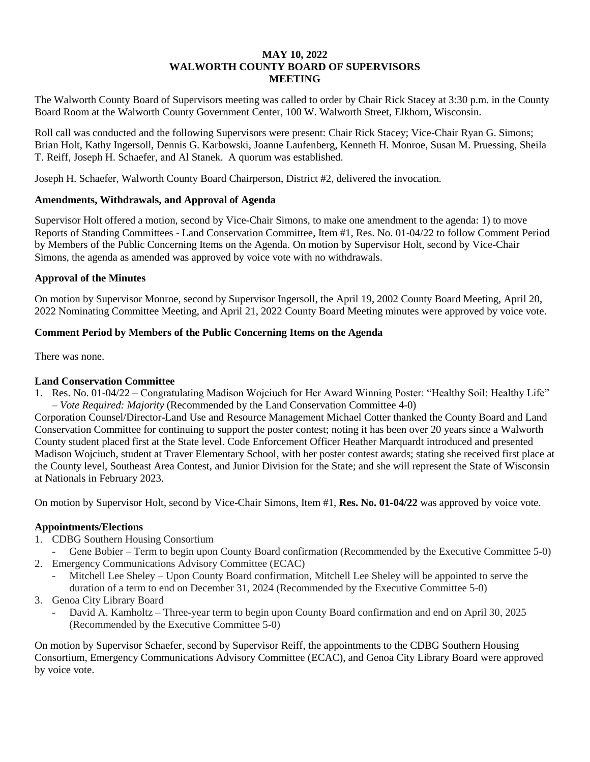# **MAY 10, 2022 WALWORTH COUNTY BOARD OF SUPERVISORS MEETING**

The Walworth County Board of Supervisors meeting was called to order by Chair Rick Stacey at 3:30 p.m. in the County Board Room at the Walworth County Government Center, 100 W. Walworth Street, Elkhorn, Wisconsin.

Roll call was conducted and the following Supervisors were present: Chair Rick Stacey; Vice-Chair Ryan G. Simons; Brian Holt, Kathy Ingersoll, Dennis G. Karbowski, Joanne Laufenberg, Kenneth H. Monroe, Susan M. Pruessing, Sheila T. Reiff, Joseph H. Schaefer, and Al Stanek. A quorum was established.

Joseph H. Schaefer, Walworth County Board Chairperson, District #2, delivered the invocation.

# **Amendments, Withdrawals, and Approval of Agenda**

Supervisor Holt offered a motion, second by Vice-Chair Simons, to make one amendment to the agenda: 1) to move Reports of Standing Committees - Land Conservation Committee, Item #1, Res. No. 01-04/22 to follow Comment Period by Members of the Public Concerning Items on the Agenda. On motion by Supervisor Holt, second by Vice-Chair Simons, the agenda as amended was approved by voice vote with no withdrawals.

# **Approval of the Minutes**

On motion by Supervisor Monroe, second by Supervisor Ingersoll, the April 19, 2002 County Board Meeting, April 20, 2022 Nominating Committee Meeting, and April 21, 2022 County Board Meeting minutes were approved by voice vote.

# **Comment Period by Members of the Public Concerning Items on the Agenda**

There was none.

# **Land Conservation Committee**

1. Res. No. 01-04/22 – Congratulating Madison Wojciuch for Her Award Winning Poster: "Healthy Soil: Healthy Life" – *Vote Required: Majority* (Recommended by the Land Conservation Committee 4-0)

Corporation Counsel/Director-Land Use and Resource Management Michael Cotter thanked the County Board and Land Conservation Committee for continuing to support the poster contest; noting it has been over 20 years since a Walworth County student placed first at the State level. Code Enforcement Officer Heather Marquardt introduced and presented Madison Wojciuch, student at Traver Elementary School, with her poster contest awards; stating she received first place at the County level, Southeast Area Contest, and Junior Division for the State; and she will represent the State of Wisconsin at Nationals in February 2023.

On motion by Supervisor Holt, second by Vice-Chair Simons, Item #1, **Res. No. 01-04/22** was approved by voice vote.

# **Appointments/Elections**

- 1. CDBG Southern Housing Consortium
- Gene Bobier Term to begin upon County Board confirmation (Recommended by the Executive Committee 5-0)
- 2. Emergency Communications Advisory Committee (ECAC)
	- Mitchell Lee Sheley Upon County Board confirmation, Mitchell Lee Sheley will be appointed to serve the duration of a term to end on December 31, 2024 (Recommended by the Executive Committee 5-0)
- 3. Genoa City Library Board
	- David A. Kamholtz Three-year term to begin upon County Board confirmation and end on April 30, 2025 (Recommended by the Executive Committee 5-0)

On motion by Supervisor Schaefer, second by Supervisor Reiff, the appointments to the CDBG Southern Housing Consortium, Emergency Communications Advisory Committee (ECAC), and Genoa City Library Board were approved by voice vote.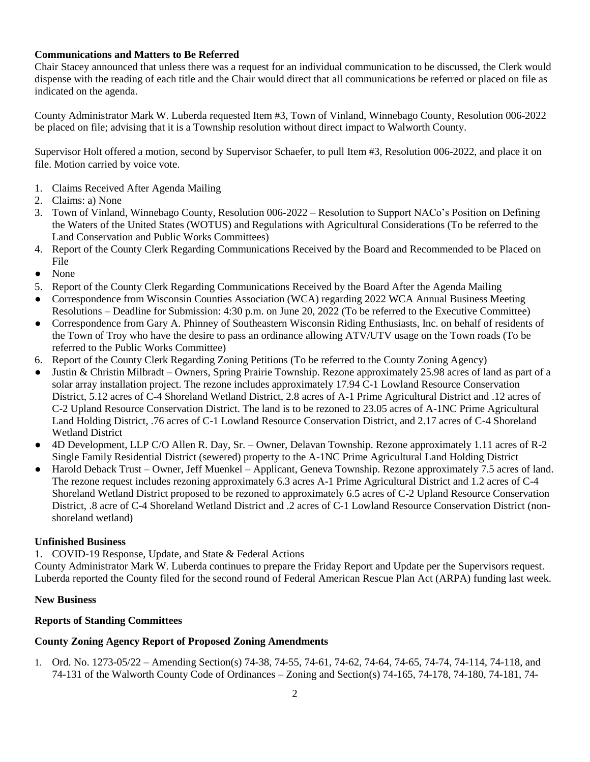## **Communications and Matters to Be Referred**

Chair Stacey announced that unless there was a request for an individual communication to be discussed, the Clerk would dispense with the reading of each title and the Chair would direct that all communications be referred or placed on file as indicated on the agenda.

County Administrator Mark W. Luberda requested Item #3, Town of Vinland, Winnebago County, Resolution 006-2022 be placed on file; advising that it is a Township resolution without direct impact to Walworth County.

Supervisor Holt offered a motion, second by Supervisor Schaefer, to pull Item #3, Resolution 006-2022, and place it on file. Motion carried by voice vote.

- 1. Claims Received After Agenda Mailing
- 2. Claims: a) None
- 3. Town of Vinland, Winnebago County, Resolution 006-2022 Resolution to Support NACo's Position on Defining the Waters of the United States (WOTUS) and Regulations with Agricultural Considerations (To be referred to the Land Conservation and Public Works Committees)
- 4. Report of the County Clerk Regarding Communications Received by the Board and Recommended to be Placed on File
- None
- 5. Report of the County Clerk Regarding Communications Received by the Board After the Agenda Mailing
- Correspondence from Wisconsin Counties Association (WCA) regarding 2022 WCA Annual Business Meeting Resolutions – Deadline for Submission: 4:30 p.m. on June 20, 2022 (To be referred to the Executive Committee)
- Correspondence from Gary A. Phinney of Southeastern Wisconsin Riding Enthusiasts, Inc. on behalf of residents of the Town of Troy who have the desire to pass an ordinance allowing ATV/UTV usage on the Town roads (To be referred to the Public Works Committee)
- 6. Report of the County Clerk Regarding Zoning Petitions (To be referred to the County Zoning Agency)
- Justin & Christin Milbradt Owners, Spring Prairie Township. Rezone approximately 25.98 acres of land as part of a solar array installation project. The rezone includes approximately 17.94 C-1 Lowland Resource Conservation District, 5.12 acres of C-4 Shoreland Wetland District, 2.8 acres of A-1 Prime Agricultural District and .12 acres of C-2 Upland Resource Conservation District. The land is to be rezoned to 23.05 acres of A-1NC Prime Agricultural Land Holding District, .76 acres of C-1 Lowland Resource Conservation District, and 2.17 acres of C-4 Shoreland Wetland District
- 4D Development, LLP C/O Allen R. Day, Sr. Owner, Delavan Township. Rezone approximately 1.11 acres of R-2 Single Family Residential District (sewered) property to the A-1NC Prime Agricultural Land Holding District
- Harold Deback Trust Owner, Jeff Muenkel Applicant, Geneva Township. Rezone approximately 7.5 acres of land. The rezone request includes rezoning approximately 6.3 acres A-1 Prime Agricultural District and 1.2 acres of C-4 Shoreland Wetland District proposed to be rezoned to approximately 6.5 acres of C-2 Upland Resource Conservation District, .8 acre of C-4 Shoreland Wetland District and .2 acres of C-1 Lowland Resource Conservation District (nonshoreland wetland)

#### **Unfinished Business**

1. COVID-19 Response, Update, and State & Federal Actions

County Administrator Mark W. Luberda continues to prepare the Friday Report and Update per the Supervisors request. Luberda reported the County filed for the second round of Federal American Rescue Plan Act (ARPA) funding last week.

#### **New Business**

### **Reports of Standing Committees**

#### **County Zoning Agency Report of Proposed Zoning Amendments**

1. Ord. No. 1273-05/22 – Amending Section(s) 74-38, 74-55, 74-61, 74-62, 74-64, 74-65, 74-74, 74-114, 74-118, and 74-131 of the Walworth County Code of Ordinances – Zoning and Section(s) 74-165, 74-178, 74-180, 74-181, 74-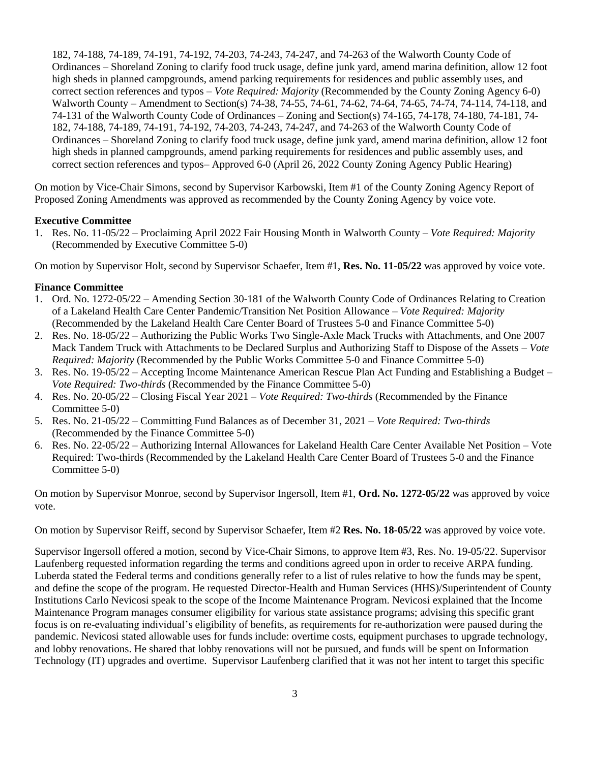182, 74-188, 74-189, 74-191, 74-192, 74-203, 74-243, 74-247, and 74-263 of the Walworth County Code of Ordinances – Shoreland Zoning to clarify food truck usage, define junk yard, amend marina definition, allow 12 foot high sheds in planned campgrounds, amend parking requirements for residences and public assembly uses, and correct section references and typos – *Vote Required: Majority* (Recommended by the County Zoning Agency 6-0) Walworth County – Amendment to Section(s) 74-38, 74-55, 74-61, 74-62, 74-64, 74-65, 74-74, 74-114, 74-118, and 74-131 of the Walworth County Code of Ordinances – Zoning and Section(s) 74-165, 74-178, 74-180, 74-181, 74- 182, 74-188, 74-189, 74-191, 74-192, 74-203, 74-243, 74-247, and 74-263 of the Walworth County Code of Ordinances – Shoreland Zoning to clarify food truck usage, define junk yard, amend marina definition, allow 12 foot high sheds in planned campgrounds, amend parking requirements for residences and public assembly uses, and correct section references and typos– Approved 6-0 (April 26, 2022 County Zoning Agency Public Hearing)

On motion by Vice-Chair Simons, second by Supervisor Karbowski, Item #1 of the County Zoning Agency Report of Proposed Zoning Amendments was approved as recommended by the County Zoning Agency by voice vote.

### **Executive Committee**

1. Res. No. 11-05/22 – Proclaiming April 2022 Fair Housing Month in Walworth County – *Vote Required: Majority* (Recommended by Executive Committee 5-0)

On motion by Supervisor Holt, second by Supervisor Schaefer, Item #1, **Res. No. 11-05/22** was approved by voice vote.

### **Finance Committee**

- 1. Ord. No. 1272-05/22 Amending Section 30-181 of the Walworth County Code of Ordinances Relating to Creation of a Lakeland Health Care Center Pandemic/Transition Net Position Allowance – *Vote Required: Majority* (Recommended by the Lakeland Health Care Center Board of Trustees 5-0 and Finance Committee 5-0)
- 2. Res. No. 18-05/22 Authorizing the Public Works Two Single-Axle Mack Trucks with Attachments, and One 2007 Mack Tandem Truck with Attachments to be Declared Surplus and Authorizing Staff to Dispose of the Assets – *Vote Required: Majority* (Recommended by the Public Works Committee 5-0 and Finance Committee 5-0)
- 3. Res. No. 19-05/22 Accepting Income Maintenance American Rescue Plan Act Funding and Establishing a Budget *Vote Required: Two-thirds* (Recommended by the Finance Committee 5-0)
- 4. Res. No. 20-05/22 Closing Fiscal Year 2021 *Vote Required: Two-thirds* (Recommended by the Finance Committee 5-0)
- 5. Res. No. 21-05/22 Committing Fund Balances as of December 31, 2021 *Vote Required: Two-thirds* (Recommended by the Finance Committee 5-0)
- 6. Res. No. 22-05/22 Authorizing Internal Allowances for Lakeland Health Care Center Available Net Position Vote Required: Two-thirds (Recommended by the Lakeland Health Care Center Board of Trustees 5-0 and the Finance Committee 5-0)

On motion by Supervisor Monroe, second by Supervisor Ingersoll, Item #1, **Ord. No. 1272-05/22** was approved by voice vote.

On motion by Supervisor Reiff, second by Supervisor Schaefer, Item #2 **Res. No. 18-05/22** was approved by voice vote.

Supervisor Ingersoll offered a motion, second by Vice-Chair Simons, to approve Item #3, Res. No. 19-05/22. Supervisor Laufenberg requested information regarding the terms and conditions agreed upon in order to receive ARPA funding. Luberda stated the Federal terms and conditions generally refer to a list of rules relative to how the funds may be spent, and define the scope of the program. He requested Director-Health and Human Services (HHS)/Superintendent of County Institutions Carlo Nevicosi speak to the scope of the Income Maintenance Program. Nevicosi explained that the Income Maintenance Program manages consumer eligibility for various state assistance programs; advising this specific grant focus is on re-evaluating individual's eligibility of benefits, as requirements for re-authorization were paused during the pandemic. Nevicosi stated allowable uses for funds include: overtime costs, equipment purchases to upgrade technology, and lobby renovations. He shared that lobby renovations will not be pursued, and funds will be spent on Information Technology (IT) upgrades and overtime. Supervisor Laufenberg clarified that it was not her intent to target this specific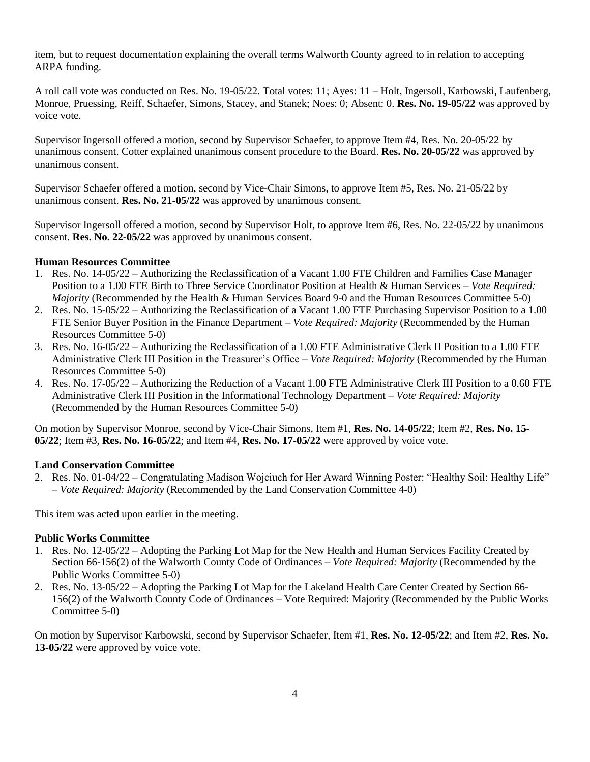item, but to request documentation explaining the overall terms Walworth County agreed to in relation to accepting ARPA funding.

A roll call vote was conducted on Res. No. 19-05/22. Total votes: 11; Ayes: 11 – Holt, Ingersoll, Karbowski, Laufenberg, Monroe, Pruessing, Reiff, Schaefer, Simons, Stacey, and Stanek; Noes: 0; Absent: 0. **Res. No. 19-05/22** was approved by voice vote.

Supervisor Ingersoll offered a motion, second by Supervisor Schaefer, to approve Item #4, Res. No. 20-05/22 by unanimous consent. Cotter explained unanimous consent procedure to the Board. **Res. No. 20-05/22** was approved by unanimous consent.

Supervisor Schaefer offered a motion, second by Vice-Chair Simons, to approve Item #5, Res. No. 21-05/22 by unanimous consent. **Res. No. 21-05/22** was approved by unanimous consent.

Supervisor Ingersoll offered a motion, second by Supervisor Holt, to approve Item #6, Res. No. 22-05/22 by unanimous consent. **Res. No. 22-05/22** was approved by unanimous consent.

## **Human Resources Committee**

- 1. Res. No. 14-05/22 Authorizing the Reclassification of a Vacant 1.00 FTE Children and Families Case Manager Position to a 1.00 FTE Birth to Three Service Coordinator Position at Health & Human Services – *Vote Required: Majority* (Recommended by the Health & Human Services Board 9-0 and the Human Resources Committee 5-0)
- 2. Res. No. 15-05/22 Authorizing the Reclassification of a Vacant 1.00 FTE Purchasing Supervisor Position to a 1.00 FTE Senior Buyer Position in the Finance Department – *Vote Required: Majority* (Recommended by the Human Resources Committee 5-0)
- 3. Res. No. 16-05/22 Authorizing the Reclassification of a 1.00 FTE Administrative Clerk II Position to a 1.00 FTE Administrative Clerk III Position in the Treasurer's Office – *Vote Required: Majority* (Recommended by the Human Resources Committee 5-0)
- 4. Res. No. 17-05/22 Authorizing the Reduction of a Vacant 1.00 FTE Administrative Clerk III Position to a 0.60 FTE Administrative Clerk III Position in the Informational Technology Department – *Vote Required: Majority* (Recommended by the Human Resources Committee 5-0)

On motion by Supervisor Monroe, second by Vice-Chair Simons, Item #1, **Res. No. 14-05/22**; Item #2, **Res. No. 15- 05/22**; Item #3, **Res. No. 16-05/22**; and Item #4, **Res. No. 17-05/22** were approved by voice vote.

## **Land Conservation Committee**

2. Res. No. 01-04/22 – Congratulating Madison Wojciuch for Her Award Winning Poster: "Healthy Soil: Healthy Life" – *Vote Required: Majority* (Recommended by the Land Conservation Committee 4-0)

This item was acted upon earlier in the meeting.

## **Public Works Committee**

- 1. Res. No. 12-05/22 Adopting the Parking Lot Map for the New Health and Human Services Facility Created by Section 66-156(2) of the Walworth County Code of Ordinances – *Vote Required: Majority* (Recommended by the Public Works Committee 5-0)
- 2. Res. No. 13-05/22 Adopting the Parking Lot Map for the Lakeland Health Care Center Created by Section 66- 156(2) of the Walworth County Code of Ordinances – Vote Required: Majority (Recommended by the Public Works Committee 5-0)

On motion by Supervisor Karbowski, second by Supervisor Schaefer, Item #1, **Res. No. 12-05/22**; and Item #2, **Res. No. 13-05/22** were approved by voice vote.